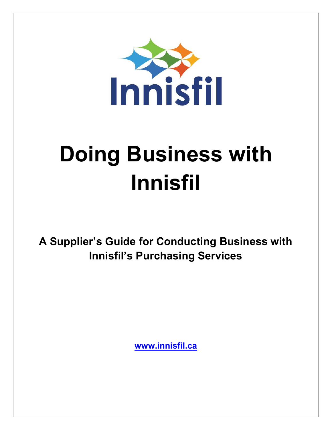

# Doing Business with Innisfil

A Supplier's Guide for Conducting Business with Innisfil's Purchasing Services

www.innisfil.ca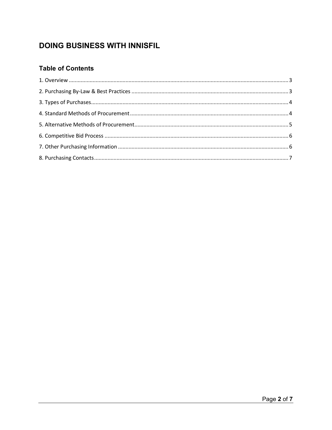# DOING BUSINESS WITH INNISFIL

# **Table of Contents**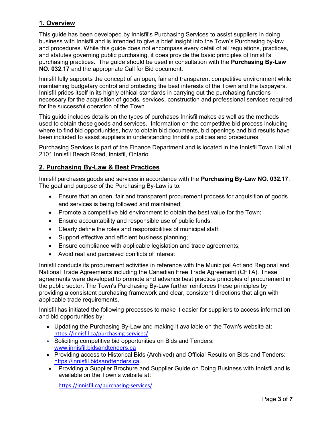## 1. Overview

This guide has been developed by Innisfil's Purchasing Services to assist suppliers in doing business with Innisfil and is intended to give a brief insight into the Town's Purchasing by-law and procedures. While this guide does not encompass every detail of all regulations, practices, and statutes governing public purchasing, it does provide the basic principles of Innisfil's purchasing practices. The guide should be used in consultation with the Purchasing By-Law NO. 032.17 and the appropriate Call for Bid document.

Innisfil fully supports the concept of an open, fair and transparent competitive environment while maintaining budgetary control and protecting the best interests of the Town and the taxpayers. Innisfil prides itself in its highly ethical standards in carrying out the purchasing functions necessary for the acquisition of goods, services, construction and professional services required for the successful operation of the Town.

This guide includes details on the types of purchases Innisfil makes as well as the methods used to obtain these goods and services. Information on the competitive bid process including where to find bid opportunities, how to obtain bid documents, bid openings and bid results have been included to assist suppliers in understanding Innisfil's policies and procedures.

Purchasing Services is part of the Finance Department and is located in the Innisfil Town Hall at 2101 Innisfil Beach Road, Innisfil, Ontario.

# 2. Purchasing By-Law & Best Practices

Innisfil purchases goods and services in accordance with the Purchasing By-Law NO. 032.17. The goal and purpose of the Purchasing By-Law is to:

- Ensure that an open, fair and transparent procurement process for acquisition of goods and services is being followed and maintained;
- Promote a competitive bid environment to obtain the best value for the Town;
- Ensure accountability and responsible use of public funds;
- Clearly define the roles and responsibilities of municipal staff;
- Support effective and efficient business planning;
- Ensure compliance with applicable legislation and trade agreements;
- Avoid real and perceived conflicts of interest

Innisfil conducts its procurement activities in reference with the Municipal Act and Regional and National Trade Agreements including the Canadian Free Trade Agreement (CFTA). These agreements were developed to promote and advance best practice principles of procurement in the public sector. The Town's Purchasing By-Law further reinforces these principles by providing a consistent purchasing framework and clear, consistent directions that align with applicable trade requirements.

Innisfil has initiated the following processes to make it easier for suppliers to access information and bid opportunities by:

- Updating the Purchasing By-Law and making it available on the Town's website at: https://innisfil.ca/purchasing-services/
- Soliciting competitive bid opportunities on Bids and Tenders: www.innisfil.bidsandtenders.ca
- Providing access to Historical Bids (Archived) and Official Results on Bids and Tenders: https://innisfil.bidsandtenders.ca
- Providing a Supplier Brochure and Supplier Guide on Doing Business with Innisfil and is available on the Town's website at:

https://innisfil.ca/purchasing-services/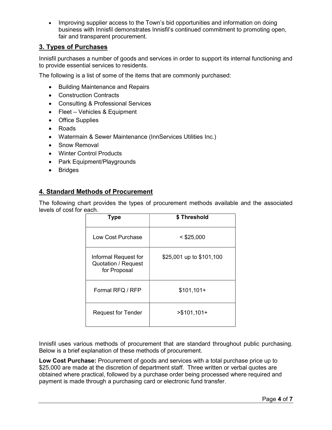• Improving supplier access to the Town's bid opportunities and information on doing business with Innisfil demonstrates Innisfil's continued commitment to promoting open, fair and transparent procurement.

# 3. Types of Purchases

Innisfil purchases a number of goods and services in order to support its internal functioning and to provide essential services to residents.

The following is a list of some of the items that are commonly purchased:

- Building Maintenance and Repairs
- Construction Contracts
- Consulting & Professional Services
- Fleet Vehicles & Equipment
- Office Supplies
- Roads
- Watermain & Sewer Maintenance (InnServices Utilities Inc.)
- Snow Removal
- Winter Control Products
- Park Equipment/Playgrounds
- Bridges

#### 4. Standard Methods of Procurement

The following chart provides the types of procurement methods available and the associated levels of cost for each.

| <b>Type</b>                                                        | \$Threshold              |
|--------------------------------------------------------------------|--------------------------|
| Low Cost Purchase                                                  | $<$ \$25,000             |
| Informal Request for<br><b>Quotation / Request</b><br>for Proposal | \$25,001 up to \$101,100 |
| Formal RFQ / RFP                                                   | $$101,101+$              |
| <b>Request for Tender</b>                                          | $> $101,101+$            |

Innisfil uses various methods of procurement that are standard throughout public purchasing. Below is a brief explanation of these methods of procurement.

Low Cost Purchase: Procurement of goods and services with a total purchase price up to \$25,000 are made at the discretion of department staff. Three written or verbal quotes are obtained where practical, followed by a purchase order being processed where required and payment is made through a purchasing card or electronic fund transfer.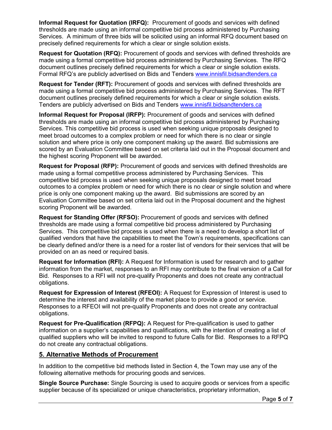Informal Request for Quotation (IRFQ): Procurement of goods and services with defined thresholds are made using an informal competitive bid process administered by Purchasing Services. A minimum of three bids will be solicited using an informal RFQ document based on precisely defined requirements for which a clear or single solution exists.

Request for Quotation (RFQ): Procurement of goods and services with defined thresholds are made using a formal competitive bid process administered by Purchasing Services. The RFQ document outlines precisely defined requirements for which a clear or single solution exists. Formal RFQ's are publicly advertised on Bids and Tenders www.innisfil.bidsandtenders.ca

Request for Tender (RFT): Procurement of goods and services with defined thresholds are made using a formal competitive bid process administered by Purchasing Services. The RFT document outlines precisely defined requirements for which a clear or single solution exists. Tenders are publicly advertised on Bids and Tenders www.innisfil.bidsandtenders.ca

Informal Request for Proposal (IRFP): Procurement of goods and services with defined thresholds are made using an informal competitive bid process administered by Purchasing Services. This competitive bid process is used when seeking unique proposals designed to meet broad outcomes to a complex problem or need for which there is no clear or single solution and where price is only one component making up the award. Bid submissions are scored by an Evaluation Committee based on set criteria laid out in the Proposal document and the highest scoring Proponent will be awarded.

Request for Proposal (RFP): Procurement of goods and services with defined thresholds are made using a formal competitive process administered by Purchasing Services. This competitive bid process is used when seeking unique proposals designed to meet broad outcomes to a complex problem or need for which there is no clear or single solution and where price is only one component making up the award. Bid submissions are scored by an Evaluation Committee based on set criteria laid out in the Proposal document and the highest scoring Proponent will be awarded.

Request for Standing Offer (RFSO): Procurement of goods and services with defined thresholds are made using a formal competitive bid process administered by Purchasing Services. This competitive bid process is used when there is a need to develop a short list of qualified vendors that have the capabilities to meet the Town's requirements, specifications can be clearly defined and/or there is a need for a roster list of vendors for their services that will be provided on an as need or required basis.

Request for Information (RFI): A Request for Information is used for research and to gather information from the market, responses to an RFI may contribute to the final version of a Call for Bid. Responses to a RFI will not pre-qualify Proponents and does not create any contractual obligations.

Request for Expression of Interest (RFEOI): A Request for Expression of Interest is used to determine the interest and availability of the market place to provide a good or service. Responses to a RFEOI will not pre-qualify Proponents and does not create any contractual obligations.

Request for Pre-Qualification (RFPQ): A Request for Pre-qualification is used to gather information on a supplier's capabilities and qualifications, with the intention of creating a list of qualified suppliers who will be invited to respond to future Calls for Bid. Responses to a RFPQ do not create any contractual obligations.

#### 5. Alternative Methods of Procurement

In addition to the competitive bid methods listed in Section 4, the Town may use any of the following alternative methods for procuring goods and services.

Single Source Purchase: Single Sourcing is used to acquire goods or services from a specific supplier because of its specialized or unique characteristics, proprietary information,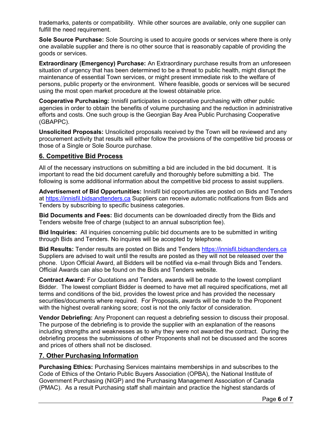trademarks, patents or compatibility. While other sources are available, only one supplier can fulfill the need requirement.

Sole Source Purchase: Sole Sourcing is used to acquire goods or services where there is only one available supplier and there is no other source that is reasonably capable of providing the goods or services.

**Extraordinary (Emergency) Purchase:** An Extraordinary purchase results from an unforeseen situation of urgency that has been determined to be a threat to public health, might disrupt the maintenance of essential Town services, or might present immediate risk to the welfare of persons, public property or the environment. Where feasible, goods or services will be secured using the most open market procedure at the lowest obtainable price.

Cooperative Purchasing: Innisfil participates in cooperative purchasing with other public agencies in order to obtain the benefits of volume purchasing and the reduction in administrative efforts and costs. One such group is the Georgian Bay Area Public Purchasing Cooperative (GBAPPC).

Unsolicited Proposals: Unsolicited proposals received by the Town will be reviewed and any procurement activity that results will either follow the provisions of the competitive bid process or those of a Single or Sole Source purchase.

## 6. Competitive Bid Process

All of the necessary instructions on submitting a bid are included in the bid document. It is important to read the bid document carefully and thoroughly before submitting a bid. The following is some additional information about the competitive bid process to assist suppliers.

Advertisement of Bid Opportunities: Innisfil bid opportunities are posted on Bids and Tenders at https://innisfil.bidsandtenders.ca Suppliers can receive automatic notifications from Bids and Tenders by subscribing to specific business categories.

Bid Documents and Fees: Bid documents can be downloaded directly from the Bids and Tenders website free of charge (subject to an annual subscription fee).

Bid Inquiries: All inquiries concerning public bid documents are to be submitted in writing through Bids and Tenders. No inquires will be accepted by telephone.

Bid Results: Tender results are posted on Bids and Tenders https://innisfil.bidsandtenders.ca Suppliers are advised to wait until the results are posted as they will not be released over the phone. Upon Official Award, all Bidders will be notified via e-mail through Bids and Tenders. Official Awards can also be found on the Bids and Tenders website.

Contract Award: For Quotations and Tenders, awards will be made to the lowest compliant Bidder. The lowest compliant Bidder is deemed to have met all required specifications, met all terms and conditions of the bid, provides the lowest price and has provided the necessary securities/documents where required. For Proposals, awards will be made to the Proponent with the highest overall ranking score; cost is not the only factor of consideration.

Vendor Debriefing: Any Proponent can request a debriefing session to discuss their proposal. The purpose of the debriefing is to provide the supplier with an explanation of the reasons including strengths and weaknesses as to why they were not awarded the contract. During the debriefing process the submissions of other Proponents shall not be discussed and the scores and prices of others shall not be disclosed.

#### 7. Other Purchasing Information

Purchasing Ethics: Purchasing Services maintains memberships in and subscribes to the Code of Ethics of the Ontario Public Buyers Association (OPBA), the National Institute of Government Purchasing (NIGP) and the Purchasing Management Association of Canada (PMAC). As a result Purchasing staff shall maintain and practice the highest standards of